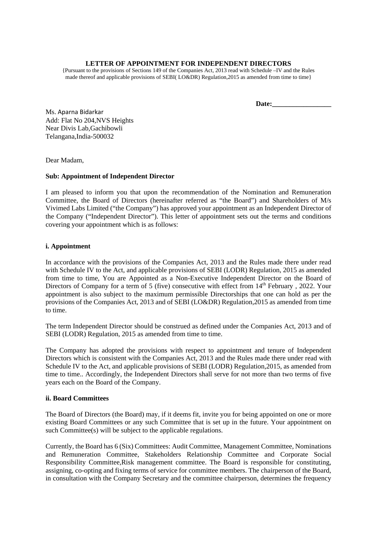#### **LETTER OF APPOINTMENT FOR INDEPENDENT DIRECTORS**

{Pursuant to the provisions of Sections 149 of the Companies Act, 2013 read with Schedule –IV and the Rules made thereof and applicable provisions of SEBI( LO&DR) Regulation,2015 as amended from time to time}

**Date:\_\_\_\_\_\_\_\_\_\_\_\_\_\_\_\_\_** 

Ms. Aparna Bidarkar Add: Flat No 204,NVS Heights Near Divis Lab,Gachibowli Telangana,India-500032

Dear Madam,

### **Sub: Appointment of Independent Director**

I am pleased to inform you that upon the recommendation of the Nomination and Remuneration Committee, the Board of Directors (hereinafter referred as "the Board") and Shareholders of M/s Vivimed Labs Limited ("the Company") has approved your appointment as an Independent Director of the Company ("Independent Director"). This letter of appointment sets out the terms and conditions covering your appointment which is as follows:

# **i. Appointment**

In accordance with the provisions of the Companies Act, 2013 and the Rules made there under read with Schedule IV to the Act, and applicable provisions of SEBI (LODR) Regulation, 2015 as amended from time to time, You are Appointed as a Non-Executive Independent Director on the Board of Directors of Company for a term of 5 (five) consecutive with effect from 14<sup>th</sup> February, 2022. Your appointment is also subject to the maximum permissible Directorships that one can hold as per the provisions of the Companies Act, 2013 and of SEBI (LO&DR) Regulation,2015 as amended from time to time.

The term Independent Director should be construed as defined under the Companies Act, 2013 and of SEBI (LODR) Regulation, 2015 as amended from time to time.

The Company has adopted the provisions with respect to appointment and tenure of Independent Directors which is consistent with the Companies Act, 2013 and the Rules made there under read with Schedule IV to the Act, and applicable provisions of SEBI (LODR) Regulation,2015, as amended from time to time.. Accordingly, the Independent Directors shall serve for not more than two terms of five years each on the Board of the Company.

#### **ii. Board Committees**

The Board of Directors (the Board) may, if it deems fit, invite you for being appointed on one or more existing Board Committees or any such Committee that is set up in the future. Your appointment on such Committee(s) will be subject to the applicable regulations.

Currently, the Board has 6 (Six) Committees: Audit Committee, Management Committee, Nominations and Remuneration Committee, Stakeholders Relationship Committee and Corporate Social Responsibility Committee,Risk management committee. The Board is responsible for constituting, assigning, co-opting and fixing terms of service for committee members. The chairperson of the Board, in consultation with the Company Secretary and the committee chairperson, determines the frequency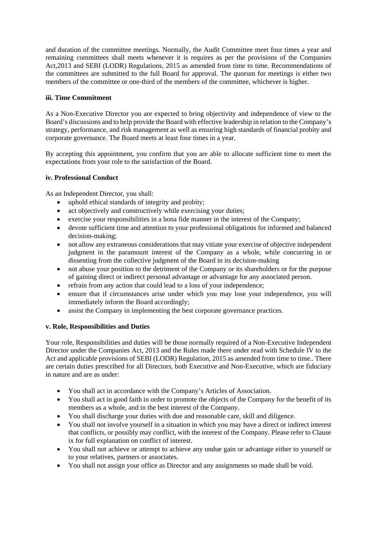and duration of the committee meetings. Normally, the Audit Committee meet four times a year and remaining committees shall meets whenever it is requires as per the provisions of the Companies Act,2013 and SEBI (LODR) Regulations, 2015 as amended from time to time. Recommendations of the committees are submitted to the full Board for approval. The quorum for meetings is either two members of the committee or one-third of the members of the committee, whichever is higher.

# **iii. Time Commitment**

As a Non-Executive Director you are expected to bring objectivity and independence of view to the Board's discussions and to help provide the Board with effective leadership in relation to the Company's strategy, performance, and risk management as well as ensuring high standards of financial probity and corporate governance. The Board meets at least four times in a year.

By accepting this appointment, you confirm that you are able to allocate sufficient time to meet the expectations from your role to the satisfaction of the Board.

# **iv. Professional Conduct**

As an Independent Director, you shall:

- uphold ethical standards of integrity and probity;
- act objectively and constructively while exercising your duties;
- exercise your responsibilities in a bona fide manner in the interest of the Company;
- devote sufficient time and attention to your professional obligations for informed and balanced decision-making;
- not allow any extraneous considerations that may vitiate your exercise of objective independent judgment in the paramount interest of the Company as a whole, while concurring in or dissenting from the collective judgment of the Board in its decision-making
- not abuse your position to the detriment of the Company or its shareholders or for the purpose of gaining direct or indirect personal advantage or advantage for any associated person.
- refrain from any action that could lead to a loss of your independence;
- ensure that if circumstances arise under which you may lose your independence, you will immediately inform the Board accordingly;
- assist the Company in implementing the best corporate governance practices.

# **v. Role, Responsibilities and Duties**

Your role, Responsibilities and duties will be those normally required of a Non-Executive Independent Director under the Companies Act, 2013 and the Rules made there under read with Schedule IV to the Act and applicable provisions of SEBI (LODR) Regulation, 2015 as amended from time to time.. There are certain duties prescribed for all Directors, both Executive and Non-Executive, which are fiduciary in nature and are as under:

- You shall act in accordance with the Company's Articles of Association.
- You shall act in good faith in order to promote the objects of the Company for the benefit of its members as a whole, and in the best interest of the Company.
- You shall discharge your duties with due and reasonable care, skill and diligence.
- You shall not involve yourself in a situation in which you may have a direct or indirect interest that conflicts, or possibly may conflict, with the interest of the Company. Please refer to Clause ix for full explanation on conflict of interest.
- You shall not achieve or attempt to achieve any undue gain or advantage either to yourself or to your relatives, partners or associates.
- You shall not assign your office as Director and any assignments so made shall be void.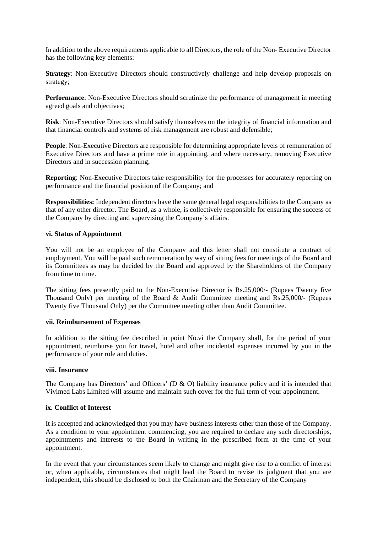In addition to the above requirements applicable to all Directors, the role of the Non- Executive Director has the following key elements:

**Strategy**: Non-Executive Directors should constructively challenge and help develop proposals on strategy;

**Performance**: Non-Executive Directors should scrutinize the performance of management in meeting agreed goals and objectives;

**Risk**: Non-Executive Directors should satisfy themselves on the integrity of financial information and that financial controls and systems of risk management are robust and defensible;

**People**: Non-Executive Directors are responsible for determining appropriate levels of remuneration of Executive Directors and have a prime role in appointing, and where necessary, removing Executive Directors and in succession planning;

**Reporting**: Non-Executive Directors take responsibility for the processes for accurately reporting on performance and the financial position of the Company; and

**Responsibilities:** Independent directors have the same general legal responsibilities to the Company as that of any other director. The Board, as a whole, is collectively responsible for ensuring the success of the Company by directing and supervising the Company's affairs.

### **vi. Status of Appointment**

You will not be an employee of the Company and this letter shall not constitute a contract of employment. You will be paid such remuneration by way of sitting fees for meetings of the Board and its Committees as may be decided by the Board and approved by the Shareholders of the Company from time to time.

The sitting fees presently paid to the Non-Executive Director is Rs.25,000/- (Rupees Twenty five Thousand Only) per meeting of the Board & Audit Committee meeting and Rs.25,000/- (Rupees Twenty five Thousand Only) per the Committee meeting other than Audit Committee.

### **vii. Reimbursement of Expenses**

In addition to the sitting fee described in point No.vi the Company shall, for the period of your appointment, reimburse you for travel, hotel and other incidental expenses incurred by you in the performance of your role and duties.

# **viii. Insurance**

The Company has Directors' and Officers' (D  $\&$  O) liability insurance policy and it is intended that Vivimed Labs Limited will assume and maintain such cover for the full term of your appointment.

# **ix. Conflict of Interest**

It is accepted and acknowledged that you may have business interests other than those of the Company. As a condition to your appointment commencing, you are required to declare any such directorships, appointments and interests to the Board in writing in the prescribed form at the time of your appointment.

In the event that your circumstances seem likely to change and might give rise to a conflict of interest or, when applicable, circumstances that might lead the Board to revise its judgment that you are independent, this should be disclosed to both the Chairman and the Secretary of the Company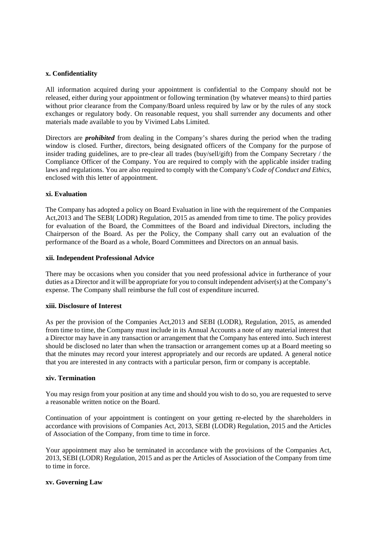# **x. Confidentiality**

All information acquired during your appointment is confidential to the Company should not be released, either during your appointment or following termination (by whatever means) to third parties without prior clearance from the Company/Board unless required by law or by the rules of any stock exchanges or regulatory body. On reasonable request, you shall surrender any documents and other materials made available to you by Vivimed Labs Limited.

Directors are *prohibited* from dealing in the Company's shares during the period when the trading window is closed. Further, directors, being designated officers of the Company for the purpose of insider trading guidelines, are to pre-clear all trades (buy/sell/gift) from the Company Secretary / the Compliance Officer of the Company. You are required to comply with the applicable insider trading laws and regulations. You are also required to comply with the Company's *Code of Conduct and Ethics,*  enclosed with this letter of appointment.

### **xi. Evaluation**

The Company has adopted a policy on Board Evaluation in line with the requirement of the Companies Act,2013 and The SEBI( LODR) Regulation, 2015 as amended from time to time. The policy provides for evaluation of the Board, the Committees of the Board and individual Directors, including the Chairperson of the Board. As per the Policy, the Company shall carry out an evaluation of the performance of the Board as a whole, Board Committees and Directors on an annual basis.

#### **xii. Independent Professional Advice**

There may be occasions when you consider that you need professional advice in furtherance of your duties as a Director and it will be appropriate for you to consult independent adviser(s) at the Company's expense. The Company shall reimburse the full cost of expenditure incurred.

#### **xiii. Disclosure of Interest**

As per the provision of the Companies Act,2013 and SEBI (LODR), Regulation, 2015, as amended from time to time, the Company must include in its Annual Accounts a note of any material interest that a Director may have in any transaction or arrangement that the Company has entered into. Such interest should be disclosed no later than when the transaction or arrangement comes up at a Board meeting so that the minutes may record your interest appropriately and our records are updated. A general notice that you are interested in any contracts with a particular person, firm or company is acceptable.

# **xiv. Termination**

You may resign from your position at any time and should you wish to do so, you are requested to serve a reasonable written notice on the Board.

Continuation of your appointment is contingent on your getting re-elected by the shareholders in accordance with provisions of Companies Act, 2013, SEBI (LODR) Regulation, 2015 and the Articles of Association of the Company, from time to time in force.

Your appointment may also be terminated in accordance with the provisions of the Companies Act, 2013, SEBI (LODR) Regulation, 2015 and as per the Articles of Association of the Company from time to time in force.

# **xv. Governing Law**